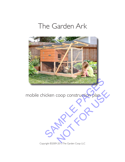# The Garden Ark



mobile chicken coop construction plan COOP COnstruction plan.

Copyright ©2009-2013 The Garden Coop LLC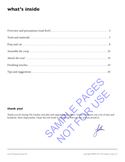### **what's inside**



### **thank you!**

Thank you for buying The Garden Ark plan and supporting the effort. I know it will save you a lot of time and headache. More importantly, I hope the end result is something that you love and are proud of.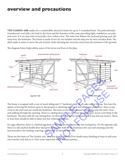# **overview and precautions**

**THE GARDEN ARK** makes for a comfortable, attractive home for up to 3-4 standard hens. The polycarbonate (translucent) roof adds a lot both to the form and the function of the coop, providing light, ventilation, security, and cover. It is set atop what is basically a box within a box. The outer box defines the enclosed grazing yard; the inner box, the henhouse. The frame is made of two-by-two lumber and sits atop two-by-four wooden skids. The skids make it easier to move the ark around, while elevating the structure away from the moisture of the ground.

The diagram below helps define some of the terms you'll see in the plan:



The frame is wrapped with a mix of wood siding and 1/2" hardware cloth on all sides and at the top. You have the option of leaving the bottom open to the ground or attaching wire mesh for additional protection. There is one roost in the yard and one inside the henhouse. The hens access the henhouse by hopping onto the outer roost and walking through the opening. There is a sliding door so you can close the opening to secure your birds in the henhouse. The plan calls for one nesting box, yet there is room for an additional one if you feel you need it. Three or four hens should be able to share one box without problems. SKIGS<br>
SKIGS<br>
SKIGS<br>
And 1/2" hardware cloth on all sides and at the top. You has<br>
a rattaching wire mesh for additional protection. There is<br>
then access the henhouse by hopping onto the outer ro<br>
and some properties is r

For egg collection, there is a latched egg door to the outside that opens into the nesting box. On the opposite side there is a tall, latched double door that gives easy access both to the henhouse (for care and cleaning) and the area beneath it (for feeding, watering, and letting the hens in and out).

Those are the basics of The Garden Ark. It's a fun design, and you'll no doubt enjoy thinking of ways to add your own touches and style to it. Now some important notes and precautions. . .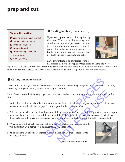# **prep and cut**



### **O** Sanding lumber (recommended)

If you have a power sander, this step is a big time saver. Whether you'll be treating your wood with a non-toxic preservative, staining it, or priming/painting it, sanding first will remove the mill glaze from dimensional lumber and slightly raise the grain so those products will better penetrate and adhere.



Lay out your lumber on sawhorses or other

flat surface. Remove any staples or tags. Hold or clamp the pieces together so you get a solid surface for sanding. Sand, then flip each piece to the next side and repeat until all four sides of your lumber pieces have been sanded. Brush off dust with a rag, then stack your lumber aside.

#### $\Theta$  Cutting lumber for frame

*NOTE: You can do steps 2 and 3 in either order. Step 3 is more demanding, so if you want to get warmed up for it, do step 2 first. If you want to get it out of the way, do step 3 first.* 

Using the cut list on the following pages, measure, mark, and cut your lumber into the pieces indicated. A few tips:

- → Notice that the first board on the list is a one-by-two, the next batch are two-by-twos, and the last 3 are twoby-fours. Review the sidebar on page 6 if any of your lumber is non-standard.
- → Before each cut, label the length and purpose of the piece (in pencil) for ease of finding it later. Any marks you make may fade when you treat/seal the wood, but that's okay. It should be clear which pieces are which just by their relative size. If you're ever unsure, just re-measure a piece and refer back to the cut list to identify it. the way, do step 3 is more demanding, so if you want to get warmed u<br>of the way, do step 3 first.<br>Sees, measure, mark, and cut your lumber into the pleces indicated.<br>The sees, measure, mark, and cut your lumber into the pl mark, and cut your lumber into the pieces indicated. A<br>two, the next batch are two-by-twos, and the last 3 are<br>your lumber is non-standard.<br>the piece (in pencil) for ease of finding it later. Any man<br>at that's okay. It sho
- $\rightarrow$  When you cut a 2"x2"x96" board in half to make two purlins, you may end up with two pieces that are a hair shorter or longer than 48". That's okay.
- → All angled cuts are exactly 45 degrees. A combination square makes these easy to mark (see picture).



*Tips continue after cut list. . .*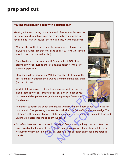# **prep and cut**

#### **Making straight, long cuts with a circular saw**

Marking a line and cutting on the line works fine for simple crosscuts. But longer cuts through plywood are easier to keep straight if you have a guide for your circular saw. Here's an easy way to make one:

- → Measure the width of the base plate on your saw. Cut a piece of plywood 6" wider than that width and at least 37" long (this length should cover the cuts in this plan).
- → Cut a 1x6 board to the same length (again, at least 37"). Place it atop the plywood, flush to the left side, and attach it with a few screws (top picture).
- → Place the guide on sawhorses. With the saw plate flush against the 1x6. Run the saw through the plywood trimming off the right edge (second picture).
- → You'll be left with a pretty straight guiding edge right where the blade cut the plywood. For future cuts, position this edge at your cut mark and clamp the entire guide to the piece you're cutting (third picture).







- → Remember to add in the depth of the guide when setting the depth of your saw blade for cuts. And don't stop moving your saw forward when the front of it comes to the edge. The full depth of the cut only happens at the mid point of the circular blade. So guide it forward until that point reaches the edge of your board.
- → For safety, be sure to not overreach. Keep both feet planted on the ground. And keep the power cord out of the way of your cut. The circular saw is a very handy tool, but if you are not fully confident in using it, please ask for guidance or search online for more detailed tutorials. The plywood trimming off the right edge<br>
traight guiding edge right where the<br>
future cuts, position this edge at your<br>
tire guide to the piece you're cutting<br>
the future cuts, position this edge at your<br>
tire guide to the The piece you're cutting<br>position this edge at your<br>the piece you're cutting<br>uide when setting the depth of your saw blade for<br>orward when the front of it comes to the edge. The<br>e mid point of the circular blade. So guide

 $\frac{1}{2}$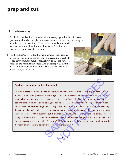# **prep and cut**

### $\Theta$  Treating/sealing

- $\rightarrow$  For the lumber, lay down a drop cloth and arrange your lumber pieces on a spacious work surface. Apply your treatment/sealer to all sides following the manufacturer's instructions. Focus on the cut ends, which will likely soak up more than the smoother sides. After the final coat, set the wood aside to cure or dry.
- $\rightarrow$  For the siding/doors, follow the manufacturer's instructions for the exterior stain or paint of your choice. Apply liberally to rough-sawn surfaces, more conservatively to smooth surfaces. Focus on the cut ends and edges. And don't forget all the little pieces of the double door assembly. After the final coat dries to the touch, set it all aside.



#### **Products for treating and sealing wood**

Since you want to avoid using treated wood around animals involved in food production, you need to find a non-toxic alternative to preserve the wood of your coop for a long life in the elements. Whether you choose a naturally rot-resistant wood like cedar or a less expensive softwood like fir or pine, you want to prepare it to last. There are several good stains, paints, and sealers out there. I use products by a company called Timber Pro UV (**www.timberprocoatings.com**). I apply their Internal Wood Stabilizer to the frame lumber, including the skids and the roof members. It is a non-toxic alternative for waterproofing wood that increases the density and hardness of wood from the inside out. It brushes on like water and requires just one application. For wood siding, I use Timber Pro UV Natural Oil Wood Finish, a nice renewable-oil based, yet water borne, formula. Timber Pro's products are environmentally safe and low VOC. Whether you use these or something else, please consider the health of your chickens, garden, and family when choosing. ealing wood<br>ted wood around animals involved in food production, you heed to find a<br>he wood of your coop for a long life in the elements. Whether you choose<br>cedar or a less expensive softwood like fir or pine, you want to In a mimals involved in food production, you need to find a<br>ur coop for a long life in the elements. Whether you choose<br>expensive softwood like fir or pine, you want to prepare it to<br>talers out there. I use products by a c